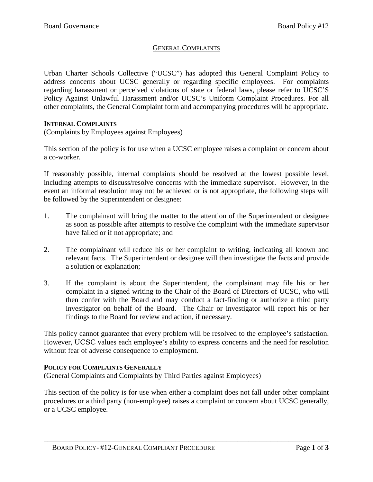## GENERAL COMPLAINTS

Urban Charter Schools Collective ("UCSC") has adopted this General Complaint Policy to address concerns about UCSC generally or regarding specific employees. For complaints regarding harassment or perceived violations of state or federal laws, please refer to UCSC'S Policy Against Unlawful Harassment and/or UCSC's Uniform Complaint Procedures. For all other complaints, the General Complaint form and accompanying procedures will be appropriate.

### **INTERNAL COMPLAINTS**

(Complaints by Employees against Employees)

This section of the policy is for use when a UCSC employee raises a complaint or concern about a co-worker.

If reasonably possible, internal complaints should be resolved at the lowest possible level, including attempts to discuss/resolve concerns with the immediate supervisor. However, in the event an informal resolution may not be achieved or is not appropriate, the following steps will be followed by the Superintendent or designee:

- 1. The complainant will bring the matter to the attention of the Superintendent or designee as soon as possible after attempts to resolve the complaint with the immediate supervisor have failed or if not appropriate; and
- 2. The complainant will reduce his or her complaint to writing, indicating all known and relevant facts. The Superintendent or designee will then investigate the facts and provide a solution or explanation;
- 3. If the complaint is about the Superintendent, the complainant may file his or her complaint in a signed writing to the Chair of the Board of Directors of UCSC, who will then confer with the Board and may conduct a fact-finding or authorize a third party investigator on behalf of the Board. The Chair or investigator will report his or her findings to the Board for review and action, if necessary.

This policy cannot guarantee that every problem will be resolved to the employee's satisfaction. However, UCSC values each employee's ability to express concerns and the need for resolution without fear of adverse consequence to employment.

### **POLICY FOR COMPLAINTS GENERALLY**

(General Complaints and Complaints by Third Parties against Employees)

This section of the policy is for use when either a complaint does not fall under other complaint procedures or a third party (non-employee) raises a complaint or concern about UCSC generally, or a UCSC employee.

\_\_\_\_\_\_\_\_\_\_\_\_\_\_\_\_\_\_\_\_\_\_\_\_\_\_\_\_\_\_\_\_\_\_\_\_\_\_\_\_\_\_\_\_\_\_\_\_\_\_\_\_\_\_\_\_\_\_\_\_\_\_\_\_\_\_\_\_\_\_\_\_\_\_\_\_\_\_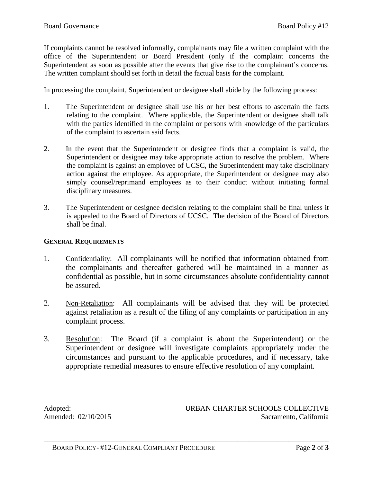If complaints cannot be resolved informally, complainants may file a written complaint with the office of the Superintendent or Board President (only if the complaint concerns the Superintendent as soon as possible after the events that give rise to the complainant's concerns. The written complaint should set forth in detail the factual basis for the complaint.

In processing the complaint, Superintendent or designee shall abide by the following process:

- 1. The Superintendent or designee shall use his or her best efforts to ascertain the facts relating to the complaint. Where applicable, the Superintendent or designee shall talk with the parties identified in the complaint or persons with knowledge of the particulars of the complaint to ascertain said facts.
- 2. In the event that the Superintendent or designee finds that a complaint is valid, the Superintendent or designee may take appropriate action to resolve the problem. Where the complaint is against an employee of UCSC, the Superintendent may take disciplinary action against the employee. As appropriate, the Superintendent or designee may also simply counsel/reprimand employees as to their conduct without initiating formal disciplinary measures.
- 3. The Superintendent or designee decision relating to the complaint shall be final unless it is appealed to the Board of Directors of UCSC. The decision of the Board of Directors shall be final.

### **GENERAL REQUIREMENTS**

- 1. Confidentiality:All complainants will be notified that information obtained from the complainants and thereafter gathered will be maintained in a manner as confidential as possible, but in some circumstances absolute confidentiality cannot be assured.
- 2. Non-Retaliation:All complainants will be advised that they will be protected against retaliation as a result of the filing of any complaints or participation in any complaint process.
- 3. Resolution:The Board (if a complaint is about the Superintendent) or the Superintendent or designee will investigate complaints appropriately under the circumstances and pursuant to the applicable procedures, and if necessary, take appropriate remedial measures to ensure effective resolution of any complaint.

\_\_\_\_\_\_\_\_\_\_\_\_\_\_\_\_\_\_\_\_\_\_\_\_\_\_\_\_\_\_\_\_\_\_\_\_\_\_\_\_\_\_\_\_\_\_\_\_\_\_\_\_\_\_\_\_\_\_\_\_\_\_\_\_\_\_\_\_\_\_\_\_\_\_\_\_\_\_

Adopted: URBAN CHARTER SCHOOLS COLLECTIVE Amended:  $02/10/2015$  Sacramento, California